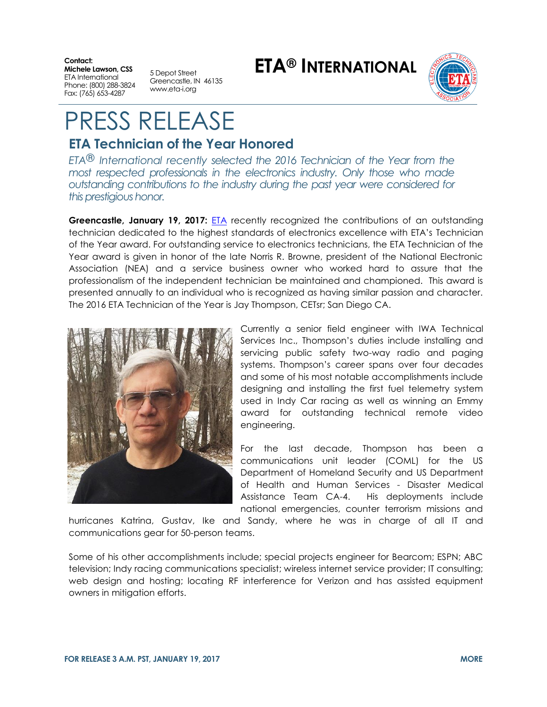**Contact: Michele Lawson, CSS** ETA International Phone: (800) 288-3824 Fax: (765) 653-4287

5 Depot Street Greencastle, IN 46135 www.eta-i.org

**ETA® INTERNATIONAL**



## PRESS RELEASE

## **ETA Technician of the Year Honored**

*ETA® International recently selected the 2016 Technician of the Year from the most respected professionals in the electronics industry. Only those who made outstanding contributions to the industry during the past year were considered for this prestigious honor.*

**Greencastle, January 19, 2017: [ETA](http://www.eta-i.org/) recently recognized the contributions of an outstanding** technician dedicated to the highest standards of electronics excellence with ETA's Technician of the Year award. For outstanding service to electronics technicians, the ETA Technician of the Year award is given in honor of the late Norris R. Browne, president of the National Electronic Association (NEA) and a service business owner who worked hard to assure that the professionalism of the independent technician be maintained and championed. This award is presented annually to an individual who is recognized as having similar passion and character. The 2016 ETA Technician of the Year is Jay Thompson, CETsr; San Diego CA.



Currently a senior field engineer with IWA Technical Services Inc., Thompson's duties include installing and servicing public safety two-way radio and paging systems. Thompson's career spans over four decades and some of his most notable accomplishments include designing and installing the first fuel telemetry system used in Indy Car racing as well as winning an Emmy award for outstanding technical remote video engineering.

For the last decade, Thompson has been a communications unit leader (COML) for the US Department of Homeland Security and US Department of Health and Human Services - Disaster Medical Assistance Team CA-4. His deployments include national emergencies, counter terrorism missions and

hurricanes Katrina, Gustav, Ike and Sandy, where he was in charge of all IT and communications gear for 50-person teams.

Some of his other accomplishments include; special projects engineer for Bearcom; ESPN; ABC television; Indy racing communications specialist; wireless internet service provider; IT consulting; web design and hosting; locating RF interference for Verizon and has assisted equipment owners in mitigation efforts.